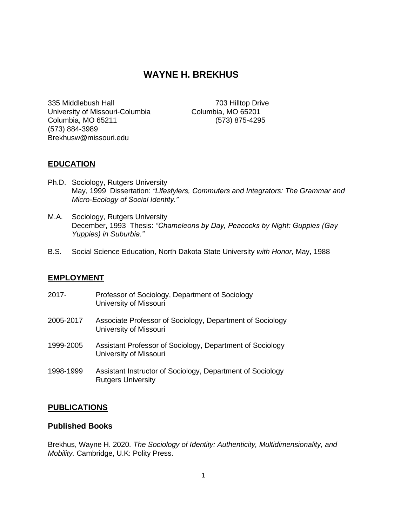# **WAYNE H. BREKHUS**

335 Middlebush Hall 703 Hilltop Drive University of Missouri-Columbia Columbia, MO 65201 Columbia, MO 65211 (573) 875-4295 (573) 884-3989 Brekhusw@missouri.edu

## **EDUCATION**

- Ph.D. Sociology, Rutgers University May, 1999 Dissertation: *"Lifestylers, Commuters and Integrators: The Grammar and Micro-Ecology of Social Identity."*
- M.A. Sociology, Rutgers University December, 1993 Thesis: *"Chameleons by Day, Peacocks by Night: Guppies (Gay Yuppies) in Suburbia."*
- B.S. Social Science Education, North Dakota State University *with Honor,* May, 1988

#### **EMPLOYMENT**

- 2017- Professor of Sociology, Department of Sociology University of Missouri
- 2005-2017 Associate Professor of Sociology, Department of Sociology University of Missouri
- 1999-2005 Assistant Professor of Sociology, Department of Sociology University of Missouri
- 1998-1999 Assistant Instructor of Sociology, Department of Sociology Rutgers University

#### **PUBLICATIONS**

#### **Published Books**

Brekhus, Wayne H. 2020. *The Sociology of Identity: Authenticity, Multidimensionality, and Mobility.* Cambridge, U.K: Polity Press.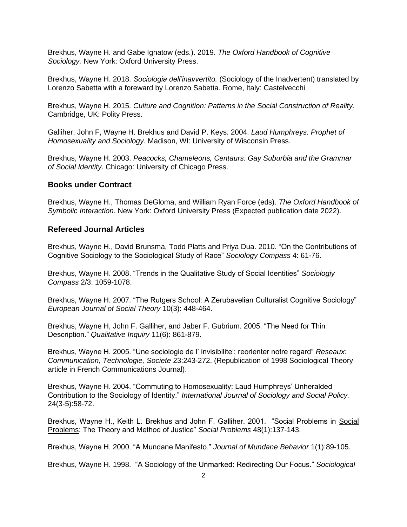Brekhus, Wayne H. and Gabe Ignatow (eds.). 2019. *The Oxford Handbook of Cognitive Sociology.* New York: Oxford University Press.

Brekhus, Wayne H. 2018. *Sociologia dell'inavvertito.* (Sociology of the Inadvertent) translated by Lorenzo Sabetta with a foreward by Lorenzo Sabetta. Rome, Italy: Castelvecchi

Brekhus, Wayne H. 2015. *Culture and Cognition: Patterns in the Social Construction of Reality.*  Cambridge, UK: Polity Press.

Galliher, John F, Wayne H. Brekhus and David P. Keys. 2004. *Laud Humphreys: Prophet of Homosexuality and Sociology*. Madison, WI: University of Wisconsin Press.

Brekhus, Wayne H. 2003. *Peacocks, Chameleons, Centaurs: Gay Suburbia and the Grammar of Social Identity*. Chicago: University of Chicago Press.

#### **Books under Contract**

Brekhus, Wayne H., Thomas DeGloma, and William Ryan Force (eds). *The Oxford Handbook of Symbolic Interaction.* New York: Oxford University Press (Expected publication date 2022).

#### **Refereed Journal Articles**

Brekhus, Wayne H., David Brunsma, Todd Platts and Priya Dua. 2010. "On the Contributions of Cognitive Sociology to the Sociological Study of Race" *Sociology Compass* 4: 61-76.

Brekhus, Wayne H. 2008. "Trends in the Qualitative Study of Social Identities" *Sociologiy Compass* 2/3: 1059-1078.

Brekhus, Wayne H. 2007. "The Rutgers School: A Zerubavelian Culturalist Cognitive Sociology" *European Journal of Social Theory* 10(3): 448-464.

Brekhus, Wayne H, John F. Galliher, and Jaber F. Gubrium. 2005. "The Need for Thin Description." *Qualitative Inquiry* 11(6): 861-879.

Brekhus, Wayne H. 2005. "Une sociologie de l' invisibilite': reorienter notre regard" *Reseaux: Communication, Technologie, Societe* 23:243-272. (Republication of 1998 Sociological Theory article in French Communications Journal).

Brekhus, Wayne H. 2004. "Commuting to Homosexuality: Laud Humphreys' Unheralded Contribution to the Sociology of Identity." *International Journal of Sociology and Social Policy.*  24(3-5):58-72.

Brekhus, Wayne H., Keith L. Brekhus and John F. Galliher. 2001. "Social Problems in Social Problems: The Theory and Method of Justice" *Social Problems* 48(1):137-143.

Brekhus, Wayne H. 2000. "A Mundane Manifesto." *Journal of Mundane Behavior* 1(1):89-105.

Brekhus, Wayne H. 1998."A Sociology of the Unmarked: Redirecting Our Focus." *Sociological*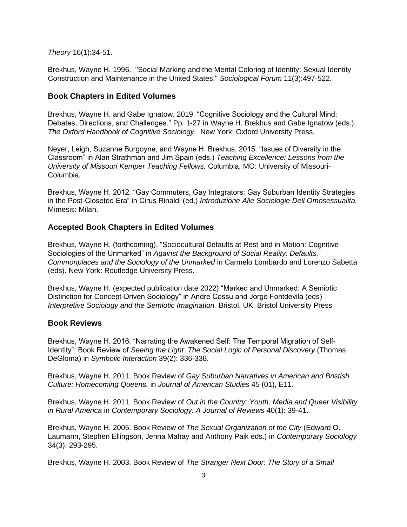*Theory* 16(1):34-51.

Brekhus, Wayne H. 1996."Social Marking and the Mental Coloring of Identity: Sexual Identity Construction and Maintenance in the United States." *Sociological Forum* 11(3):497-522.

#### **Book Chapters in Edited Volumes**

Brekhus, Wayne H. and Gabe Ignatow. 2019. "Cognitive Sociology and the Cultural Mind: Debates, Directions, and Challenges." Pp. 1-27 in Wayne H. Brekhus and Gabe Ignatow (eds.). *The Oxford Handbook of Cognitive Sociology.* New York: Oxford University Press.

Neyer, Leigh, Suzanne Burgoyne, and Wayne H. Brekhus, 2015. "Issues of Diversity in the Classroom" in Alan Strathman and Jim Spain (eds.) *Teaching Excellence: Lessons from the University of Missouri Kemper Teaching Fellows.* Columbia, MO: University of Missouri-Columbia.

Brekhus, Wayne H. 2012. "Gay Commuters, Gay Integrators: Gay Suburban Identity Strategies in the Post-Closeted Era" in Cirus Rinaldi (ed.) *Introduzione Alle Sociologie Dell Omosessualita.* Mimesis: Milan.

#### **Accepted Book Chapters in Edited Volumes**

Brekhus, Wayne H. (forthcoming). "Sociocultural Defaults at Rest and in Motion: Cognitive Sociologies of the Unmarked" in *Against the Background of Social Reality: Defaults, Commonplaces and the Sociology of the Unmarked* in Carmelo Lombardo and Lorenzo Sabetta (eds). New York: Routledge University Press.

Brekhus, Wayne H. (expected publication date 2022) "Marked and Unmarked: A Semiotic Distinction for Concept-Driven Sociology" in Andre Cossu and Jorge Fontdevila (eds) *Interpretive Sociology and the Semiotic Imagination.* Bristol, UK: Bristol University Press

#### **Book Reviews**

Brekhus, Wayne H. 2016. "Narrating the Awakened Self: The Temporal Migration of Self-Identity": Book Review of *Seeing the Light: The Social Logic of Personal Discovery* (Thomas DeGloma) in *Symbolic Interaction* 39(2): 336-338.

Brekhus, Wayne H. 2011. Book Review of *Gay Suburban Narratives in American and Bristish Culture: Homecoming Queens.* in *Journal of American Studies* 45 (01), E11.

Brekhus, Wayne H. 2011. Book Review of *Out in the Country: Youth, Media and Queer Visibility in Rural America* in *Contemporary Sociology: A Journal of Reviews* 40(1): 39-41.

Brekhus, Wayne H. 2005. Book Review of *The Sexual Organization of the City* (Edward O. Laumann, Stephen Ellingson, Jenna Mahay and Anthony Paik eds.) in *Contemporary Sociology* 34(3): 293-295.

Brekhus, Wayne H. 2003. Book Review of *The Stranger Next Door: The Story of a Small*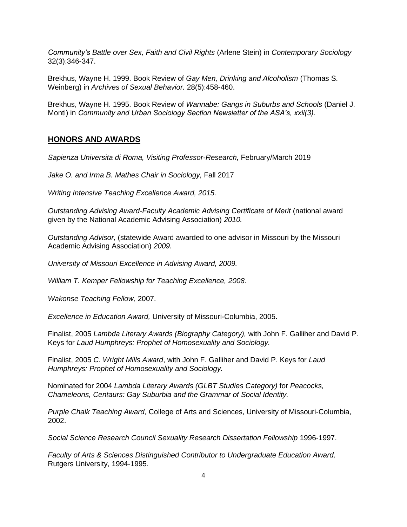*Community's Battle over Sex, Faith and Civil Rights* (Arlene Stein) in *Contemporary Sociology*  32(3):346-347.

Brekhus, Wayne H. 1999. Book Review of *Gay Men, Drinking and Alcoholism* (Thomas S. Weinberg) in *Archives of Sexual Behavior.* 28(5):458-460.

Brekhus, Wayne H. 1995. Book Review of *Wannabe: Gangs in Suburbs and Schools* (Daniel J. Monti) in *Community and Urban Sociology Section Newsletter of the ASA's, xxii(3).*

## **HONORS AND AWARDS**

*Sapienza Universita di Roma, Visiting Professor-Research,* February/March 2019

*Jake O. and Irma B. Mathes Chair in Sociology,* Fall 2017

*Writing Intensive Teaching Excellence Award, 2015.*

*Outstanding Advising Award-Faculty Academic Advising Certificate of Merit* (national award given by the National Academic Advising Association) *2010.*

*Outstanding Advisor,* (statewide Award awarded to one advisor in Missouri by the Missouri Academic Advising Association) *2009.*

*University of Missouri Excellence in Advising Award, 2009.*

*William T. Kemper Fellowship for Teaching Excellence, 2008.*

*Wakonse Teaching Fellow,* 2007.

*Excellence in Education Award,* University of Missouri-Columbia, 2005.

Finalist, 2005 *Lambda Literary Awards (Biography Category),* with John F. Galliher and David P. Keys for *Laud Humphreys: Prophet of Homosexuality and Sociology.*

Finalist, 2005 *C. Wright Mills Award*, with John F. Galliher and David P. Keys for *Laud Humphreys: Prophet of Homosexuality and Sociology.*

Nominated for 2004 *Lambda Literary Awards (GLBT Studies Category)* for *Peacocks, Chameleons, Centaurs: Gay Suburbia and the Grammar of Social Identity.*

*Purple Chalk Teaching Award,* College of Arts and Sciences, University of Missouri-Columbia, 2002.

*Social Science Research Council Sexuality Research Dissertation Fellowship* 1996-1997.

*Faculty of Arts & Sciences Distinguished Contributor to Undergraduate Education Award,* Rutgers University, 1994-1995.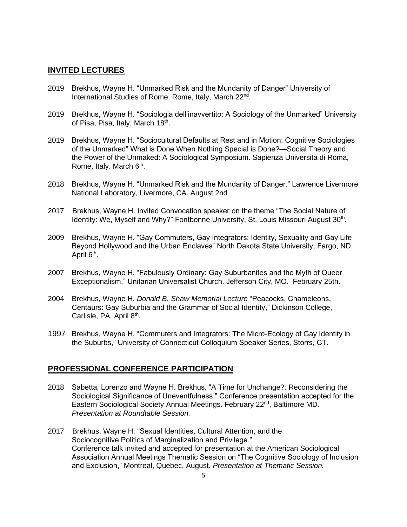#### **INVITED LECTURES**

- 2019 Brekhus, Wayne H. "Unmarked Risk and the Mundanity of Danger" University of International Studies of Rome. Rome, Italy, March 22<sup>nd</sup>.
- 2019 Brekhus, Wayne H. "Sociologia dell'inavvertito: A Sociology of the Unmarked" University of Pisa, Pisa, Italy, March 18<sup>th</sup>.
- 2019 Brekhus, Wayne H. "Sociocultural Defaults at Rest and in Motion: Cognitive Sociologies of the Unmarked" What is Done When Nothing Special is Done?—Social Theory and the Power of the Unmaked: A Sociological Symposium. Sapienza Universita di Roma, Rome, Italy. March 6<sup>th</sup>.
- 2018 Brekhus, Wayne H. "Unmarked Risk and the Mundanity of Danger." Lawrence Livermore National Laboratory, Livermore, CA. August 2nd
- 2017 Brekhus, Wayne H. Invited Convocation speaker on the theme "The Social Nature of Identity: We, Myself and Why?" Fontbonne University, St. Louis Missouri August 30<sup>th</sup>.
- 2009 Brekhus, Wayne H. "Gay Commuters, Gay Integrators: Identity, Sexuality and Gay Life Beyond Hollywood and the Urban Enclaves" North Dakota State University, Fargo, ND. April 6<sup>th</sup>.
- 2007 Brekhus, Wayne H. "Fabulously Ordinary: Gay Suburbanites and the Myth of Queer Exceptionalism," Unitarian Universalist Church. Jefferson City, MO. February 25th.
- 2004 Brekhus, Wayne H. *Donald B. Shaw Memorial Lecture* "Peacocks, Chameleons, Centaurs: Gay Suburbia and the Grammar of Social Identity," Dickinson College, Carlisle, PA. April 8<sup>th</sup>.
- 1997 Brekhus, Wayne H. "Commuters and Integrators: The Micro-Ecology of Gay Identity in the Suburbs," University of Connecticut Colloquium Speaker Series, Storrs, CT.

## **PROFESSIONAL CONFERENCE PARTICIPATION**

- 2018 Sabetta, Lorenzo and Wayne H. Brekhus. "A Time for Unchange?: Reconsidering the Sociological Significance of Uneventfulness." Conference presentation accepted for the Eastern Sociological Society Annual Meetings. February 22<sup>nd</sup>, Baltimore MD. *Presentation at Roundtable Session.*
- 2017 Brekhus, Wayne H. "Sexual Identities, Cultural Attention, and the Sociocognitive Politics of Marginalization and Privilege." Conference talk invited and accepted for presentation at the American Sociological Association Annual Meetings Thematic Session on "The Cognitive Sociology of Inclusion and Exclusion," Montreal, Quebec, August. *Presentation at Thematic Session.*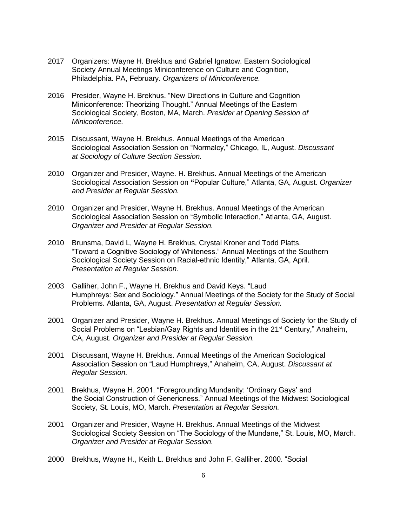- 2017 Organizers: Wayne H. Brekhus and Gabriel Ignatow. Eastern Sociological Society Annual Meetings Miniconference on Culture and Cognition, Philadelphia. PA, February. *Organizers of Miniconference.*
- 2016 Presider, Wayne H. Brekhus. "New Directions in Culture and Cognition Miniconference: Theorizing Thought." Annual Meetings of the Eastern Sociological Society, Boston, MA, March. *Presider at Opening Session of Miniconference.*
- 2015 Discussant, Wayne H. Brekhus. Annual Meetings of the American Sociological Association Session on "Normalcy," Chicago, IL, August. *Discussant at Sociology of Culture Section Session.*
- 2010 Organizer and Presider, Wayne. H. Brekhus. Annual Meetings of the American Sociological Association Session on **"**Popular Culture," Atlanta, GA, August. *Organizer and Presider at Regular Session.*
- 2010 Organizer and Presider, Wayne H. Brekhus. Annual Meetings of the American Sociological Association Session on "Symbolic Interaction," Atlanta, GA, August. *Organizer and Presider at Regular Session.*
- 2010 Brunsma, David L, Wayne H. Brekhus, Crystal Kroner and Todd Platts. "Toward a Cognitive Sociology of Whiteness." Annual Meetings of the Southern Sociological Society Session on Racial-ethnic Identity," Atlanta, GA, April. *Presentation at Regular Session.*
- 2003 Galliher, John F., Wayne H. Brekhus and David Keys. "Laud Humphreys: Sex and Sociology." Annual Meetings of the Society for the Study of Social Problems. Atlanta, GA, August. *Presentation at Regular Session.*
- 2001 Organizer and Presider, Wayne H. Brekhus. Annual Meetings of Society for the Study of Social Problems on "Lesbian/Gay Rights and Identities in the 21<sup>st</sup> Century," Anaheim, CA, August. *Organizer and Presider at Regular Session.*
- 2001 Discussant, Wayne H. Brekhus. Annual Meetings of the American Sociological Association Session on "Laud Humphreys," Anaheim, CA, August. *Discussant at Regular Session.*
- 2001 Brekhus, Wayne H. 2001. "Foregrounding Mundanity: 'Ordinary Gays' and the Social Construction of Genericness." Annual Meetings of the Midwest Sociological Society, St. Louis, MO, March. *Presentation at Regular Session.*
- 2001 Organizer and Presider, Wayne H. Brekhus. Annual Meetings of the Midwest Sociological Society Session on "The Sociology of the Mundane," St. Louis, MO, March. *Organizer and Presider at Regular Session.*
- 2000 Brekhus, Wayne H., Keith L. Brekhus and John F. Galliher. 2000. "Social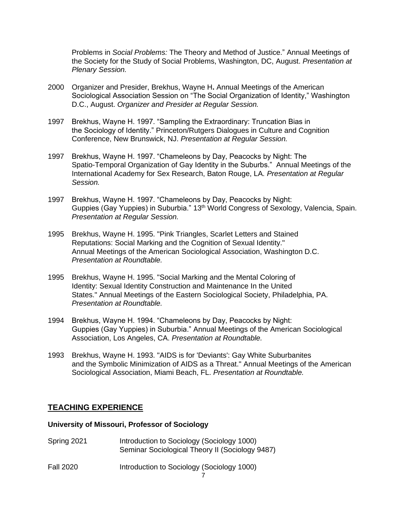Problems in *Social Problems:* The Theory and Method of Justice." Annual Meetings of the Society for the Study of Social Problems, Washington, DC, August. *Presentation at Plenary Session.*

- 2000 Organizer and Presider, Brekhus, Wayne H**.** Annual Meetings of the American Sociological Association Session on "The Social Organization of Identity," Washington D.C., August. *Organizer and Presider at Regular Session.*
- 1997 Brekhus, Wayne H. 1997. "Sampling the Extraordinary: Truncation Bias in the Sociology of Identity." Princeton/Rutgers Dialogues in Culture and Cognition Conference, New Brunswick, NJ. *Presentation at Regular Session.*
- 1997 Brekhus, Wayne H. 1997. "Chameleons by Day, Peacocks by Night: The Spatio-Temporal Organization of Gay Identity in the Suburbs." Annual Meetings of the International Academy for Sex Research, Baton Rouge, LA. *Presentation at Regular Session.*
- 1997 Brekhus, Wayne H. 1997. "Chameleons by Day, Peacocks by Night: Guppies (Gay Yuppies) in Suburbia." 13<sup>th</sup> World Congress of Sexology, Valencia, Spain. *Presentation at Regular Session.*
- 1995 Brekhus, Wayne H. 1995. "Pink Triangles, Scarlet Letters and Stained Reputations: Social Marking and the Cognition of Sexual Identity." Annual Meetings of the American Sociological Association, Washington D.C. *Presentation at Roundtable.*
- 1995 Brekhus, Wayne H. 1995. "Social Marking and the Mental Coloring of Identity: Sexual Identity Construction and Maintenance In the United States." Annual Meetings of the Eastern Sociological Society, Philadelphia, PA. *Presentation at Roundtable.*
- 1994 Brekhus, Wayne H. 1994. "Chameleons by Day, Peacocks by Night: Guppies (Gay Yuppies) in Suburbia." Annual Meetings of the American Sociological Association, Los Angeles, CA. *Presentation at Roundtable.*
- 1993 Brekhus, Wayne H. 1993. "AIDS is for 'Deviants': Gay White Suburbanites and the Symbolic Minimization of AIDS as a Threat." Annual Meetings of the American Sociological Association, Miami Beach, FL. *Presentation at Roundtable.*

## **TEACHING EXPERIENCE**

## **University of Missouri, Professor of Sociology**

Spring 2021 Introduction to Sociology (Sociology 1000) Seminar Sociological Theory II (Sociology 9487) Fall 2020 Introduction to Sociology (Sociology 1000)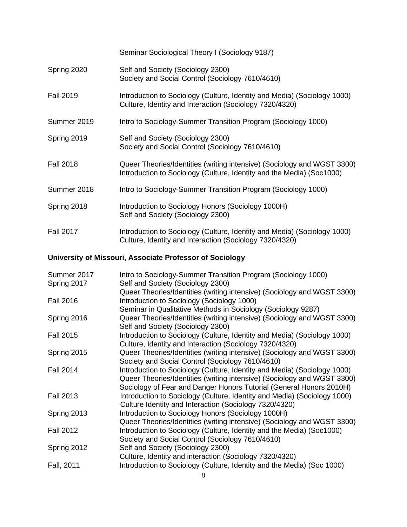|                  | Seminar Sociological Theory I (Sociology 9187)                                                                                                   |
|------------------|--------------------------------------------------------------------------------------------------------------------------------------------------|
| Spring 2020      | Self and Society (Sociology 2300)<br>Society and Social Control (Sociology 7610/4610)                                                            |
| <b>Fall 2019</b> | Introduction to Sociology (Culture, Identity and Media) (Sociology 1000)<br>Culture, Identity and Interaction (Sociology 7320/4320)              |
| Summer 2019      | Intro to Sociology-Summer Transition Program (Sociology 1000)                                                                                    |
| Spring 2019      | Self and Society (Sociology 2300)<br>Society and Social Control (Sociology 7610/4610)                                                            |
| <b>Fall 2018</b> | Queer Theories/Identities (writing intensive) (Sociology and WGST 3300)<br>Introduction to Sociology (Culture, Identity and the Media) (Soc1000) |
| Summer 2018      | Intro to Sociology-Summer Transition Program (Sociology 1000)                                                                                    |
| Spring 2018      | Introduction to Sociology Honors (Sociology 1000H)<br>Self and Society (Sociology 2300)                                                          |
| <b>Fall 2017</b> | Introduction to Sociology (Culture, Identity and Media) (Sociology 1000)<br>Culture, Identity and Interaction (Sociology 7320/4320)              |

# **University of Missouri, Associate Professor of Sociology**

| Summer 2017      | Intro to Sociology-Summer Transition Program (Sociology 1000)            |
|------------------|--------------------------------------------------------------------------|
| Spring 2017      | Self and Society (Sociology 2300)                                        |
|                  | Queer Theories/Identities (writing intensive) (Sociology and WGST 3300)  |
| <b>Fall 2016</b> | Introduction to Sociology (Sociology 1000)                               |
|                  | Seminar in Qualitative Methods in Sociology (Sociology 9287)             |
| Spring 2016      | Queer Theories/Identities (writing intensive) (Sociology and WGST 3300)  |
|                  | Self and Society (Sociology 2300)                                        |
| <b>Fall 2015</b> | Introduction to Sociology (Culture, Identity and Media) (Sociology 1000) |
|                  | Culture, Identity and Interaction (Sociology 7320/4320)                  |
| Spring 2015      | Queer Theories/Identities (writing intensive) (Sociology and WGST 3300)  |
|                  | Society and Social Control (Sociology 7610/4610)                         |
| <b>Fall 2014</b> | Introduction to Sociology (Culture, Identity and Media) (Sociology 1000) |
|                  | Queer Theories/Identities (writing intensive) (Sociology and WGST 3300)  |
|                  | Sociology of Fear and Danger Honors Tutorial (General Honors 2010H)      |
| <b>Fall 2013</b> | Introduction to Sociology (Culture, Identity and Media) (Sociology 1000) |
|                  | Culture Identity and Interaction (Sociology 7320/4320)                   |
| Spring 2013      | Introduction to Sociology Honors (Sociology 1000H)                       |
|                  | Queer Theories/Identities (writing intensive) (Sociology and WGST 3300)  |
| <b>Fall 2012</b> | Introduction to Sociology (Culture, Identity and the Media) (Soc1000)    |
|                  | Society and Social Control (Sociology 7610/4610)                         |
| Spring 2012      | Self and Society (Sociology 2300)                                        |
|                  | Culture, Identity and interaction (Sociology 7320/4320)                  |
| Fall, 2011       | Introduction to Sociology (Culture, Identity and the Media) (Soc 1000)   |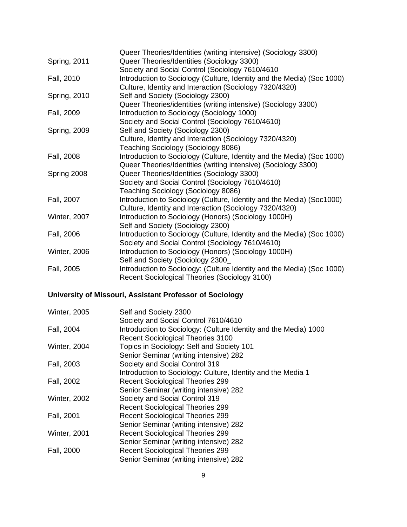|                     | Queer Theories/Identities (writing intensive) (Sociology 3300)                                                                           |
|---------------------|------------------------------------------------------------------------------------------------------------------------------------------|
| <b>Spring, 2011</b> | Queer Theories/Identities (Sociology 3300)                                                                                               |
|                     | Society and Social Control (Sociology 7610/4610                                                                                          |
| Fall, 2010          | Introduction to Sociology (Culture, Identity and the Media) (Soc 1000)<br>Culture, Identity and Interaction (Sociology 7320/4320)        |
| <b>Spring, 2010</b> | Self and Society (Sociology 2300)                                                                                                        |
|                     | Queer Theories/identities (writing intensive) (Sociology 3300)                                                                           |
| Fall, 2009          | Introduction to Sociology (Sociology 1000)                                                                                               |
|                     | Society and Social Control (Sociology 7610/4610)                                                                                         |
| <b>Spring, 2009</b> | Self and Society (Sociology 2300)                                                                                                        |
|                     | Culture, Identity and Interaction (Sociology 7320/4320)                                                                                  |
|                     | Teaching Sociology (Sociology 8086)                                                                                                      |
| Fall, 2008          | Introduction to Sociology (Culture, Identity and the Media) (Soc 1000)<br>Queer Theories/Identities (writing intensive) (Sociology 3300) |
| Spring 2008         | Queer Theories/Identities (Sociology 3300)                                                                                               |
|                     | Society and Social Control (Sociology 7610/4610)                                                                                         |
|                     | Teaching Sociology (Sociology 8086)                                                                                                      |
| Fall, 2007          | Introduction to Sociology (Culture, Identity and the Media) (Soc1000)                                                                    |
|                     | Culture, Identity and Interaction (Sociology 7320/4320)                                                                                  |
| <b>Winter, 2007</b> | Introduction to Sociology (Honors) (Sociology 1000H)                                                                                     |
|                     | Self and Society (Sociology 2300)                                                                                                        |
| Fall, 2006          | Introduction to Sociology (Culture, Identity and the Media) (Soc 1000)                                                                   |
|                     | Society and Social Control (Sociology 7610/4610)                                                                                         |
| <b>Winter, 2006</b> | Introduction to Sociology (Honors) (Sociology 1000H)                                                                                     |
|                     | Self and Society (Sociology 2300                                                                                                         |
| Fall, 2005          | Introduction to Sociology: (Culture Identity and the Media) (Soc 1000)                                                                   |
|                     | Recent Sociological Theories (Sociology 3100)                                                                                            |

# **University of Missouri, Assistant Professor of Sociology**

| <b>Winter, 2005</b> | Self and Society 2300                                            |
|---------------------|------------------------------------------------------------------|
|                     | Society and Social Control 7610/4610                             |
| Fall, 2004          | Introduction to Sociology: (Culture Identity and the Media) 1000 |
|                     | <b>Recent Sociological Theories 3100</b>                         |
| <b>Winter, 2004</b> | Topics in Sociology: Self and Society 101                        |
|                     | Senior Seminar (writing intensive) 282                           |
| Fall, 2003          | Society and Social Control 319                                   |
|                     | Introduction to Sociology: Culture, Identity and the Media 1     |
| Fall, 2002          | <b>Recent Sociological Theories 299</b>                          |
|                     | Senior Seminar (writing intensive) 282                           |
| <b>Winter, 2002</b> | Society and Social Control 319                                   |
|                     | <b>Recent Sociological Theories 299</b>                          |
| Fall, 2001          | <b>Recent Sociological Theories 299</b>                          |
|                     | Senior Seminar (writing intensive) 282                           |
| <b>Winter, 2001</b> | <b>Recent Sociological Theories 299</b>                          |
|                     | Senior Seminar (writing intensive) 282                           |
| Fall, 2000          | <b>Recent Sociological Theories 299</b>                          |
|                     | Senior Seminar (writing intensive) 282                           |
|                     |                                                                  |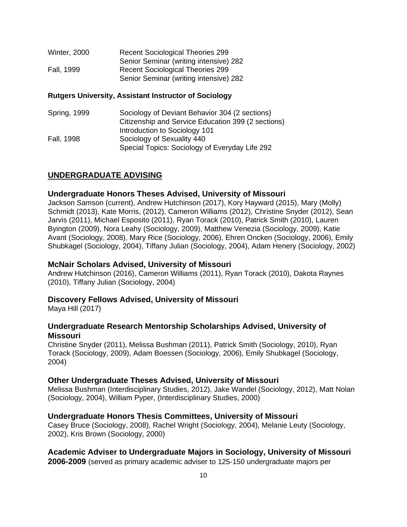| <b>Winter, 2000</b> | <b>Recent Sociological Theories 299</b> |
|---------------------|-----------------------------------------|
|                     | Senior Seminar (writing intensive) 282  |
| Fall, 1999          | <b>Recent Sociological Theories 299</b> |
|                     | Senior Seminar (writing intensive) 282  |

#### **Rutgers University, Assistant Instructor of Sociology**

Spring, 1999 Sociology of Deviant Behavior 304 (2 sections) Citizenship and Service Education 399 (2 sections) Introduction to Sociology 101 Fall, 1998 Sociology of Sexuality 440 Special Topics: Sociology of Everyday Life 292

## **UNDERGRADUATE ADVISING**

#### **Undergraduate Honors Theses Advised, University of Missouri**

Jackson Samson (current), Andrew Hutchinson (2017), Kory Hayward (2015), Mary (Molly) Schmidt (2013), Kate Morris, (2012), Cameron Williams (2012), Christine Snyder (2012), Sean Jarvis (2011), Michael Esposito (2011), Ryan Torack (2010), Patrick Smith (2010), Lauren Byington (2009), Nora Leahy (Sociology, 2009), Matthew Venezia (Sociology, 2009), Katie Avant (Sociology, 2008), Mary Rice (Sociology, 2006), Ehren Oncken (Sociology, 2006), Emily Shubkagel (Sociology, 2004), Tiffany Julian (Sociology, 2004), Adam Henery (Sociology, 2002)

#### **McNair Scholars Advised, University of Missouri**

Andrew Hutchinson (2016), Cameron Williams (2011), Ryan Torack (2010), Dakota Raynes (2010), Tiffany Julian (Sociology, 2004)

## **Discovery Fellows Advised, University of Missouri**

Maya Hill (2017)

## **Undergraduate Research Mentorship Scholarships Advised, University of Missouri**

Christine Snyder (2011), Melissa Bushman (2011), Patrick Smith (Sociology, 2010), Ryan Torack (Sociology, 2009), Adam Boessen (Sociology, 2006), Emily Shubkagel (Sociology, 2004)

## **Other Undergraduate Theses Advised, University of Missouri**

Melissa Bushman (Interdisciplinary Studies, 2012), Jake Wandel (Sociology, 2012), Matt Nolan (Sociology, 2004), William Pyper, (Interdisciplinary Studies, 2000)

## **Undergraduate Honors Thesis Committees, University of Missouri**

Casey Bruce (Sociology, 2008), Rachel Wright (Sociology, 2004), Melanie Leuty (Sociology, 2002), Kris Brown (Sociology, 2000)

## **Academic Adviser to Undergraduate Majors in Sociology, University of Missouri**

**2006-2009** (served as primary academic adviser to 125-150 undergraduate majors per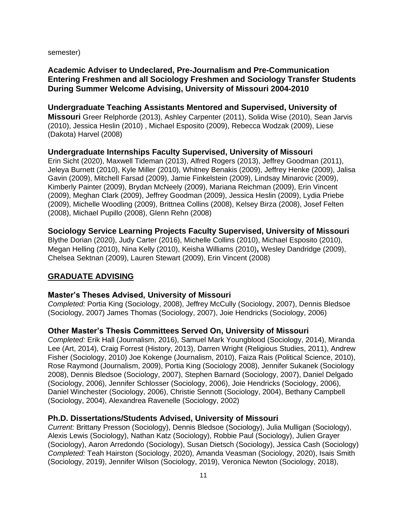semester)

## **Academic Adviser to Undeclared, Pre-Journalism and Pre-Communication Entering Freshmen and all Sociology Freshmen and Sociology Transfer Students During Summer Welcome Advising, University of Missouri 2004-2010**

**Undergraduate Teaching Assistants Mentored and Supervised, University of Missouri** Greer Relphorde (2013), Ashley Carpenter (2011), Solida Wise (2010), Sean Jarvis (2010), Jessica Heslin (2010) , Michael Esposito (2009), Rebecca Wodzak (2009), Liese (Dakota) Harvel (2008)

#### **Undergraduate Internships Faculty Supervised, University of Missouri** Erin Sicht (2020), Maxwell Tideman (2013), Alfred Rogers (2013), Jeffrey Goodman (2011),

Jeleya Burnett (2010), Kyle Miller (2010), Whitney Benakis (2009), Jeffrey Henke (2009), Jalisa Gavin (2009), Mitchell Farsad (2009), Jamie Finkelstein (2009), Lindsay Minarovic (2009), Kimberly Painter (2009), Brydan McNeely (2009), Mariana Reichman (2009), Erin Vincent (2009), Meghan Clark (2009), Jeffrey Goodman (2009), Jessica Heslin (2009), Lydia Priebe (2009), Michelle Woodling (2009), Brittnea Collins (2008), Kelsey Birza (2008), Josef Felten (2008), Michael Pupillo (2008), Glenn Rehn (2008)

#### **Sociology Service Learning Projects Faculty Supervised, University of Missouri**

Blythe Dorian (2020), Judy Carter (2016), Michelle Collins (2010), Michael Esposito (2010), Megan Helling (2010), Nina Kelly (2010), Keisha Williams (2010)**,** Wesley Dandridge (2009), Chelsea Sektnan (2009), Lauren Stewart (2009), Erin Vincent (2008)

## **GRADUATE ADVISING**

#### **Master's Theses Advised, University of Missouri**

*Completed:* Portia King (Sociology, 2008), Jeffrey McCully (Sociology, 2007), Dennis Bledsoe (Sociology, 2007) James Thomas (Sociology, 2007), Joie Hendricks (Sociology, 2006)

## **Other Master's Thesis Committees Served On, University of Missouri**

*Completed:* Erik Hall (Journalism, 2016), Samuel Mark Youngblood (Sociology, 2014), Miranda Lee (Art, 2014), Craig Forrest (History, 2013), Darren Wright (Religious Studies, 2011), Andrew Fisher (Sociology, 2010) Joe Kokenge (Journalism, 2010), Faiza Rais (Political Science, 2010), Rose Raymond (Journalism, 2009), Portia King (Sociology 2008), Jennifer Sukanek (Sociology 2008), Dennis Bledsoe (Sociology, 2007), Stephen Barnard (Sociology, 2007), Daniel Delgado (Sociology, 2006), Jennifer Schlosser (Sociology, 2006), Joie Hendricks (Sociology, 2006), Daniel Winchester (Sociology, 2006), Christie Sennott (Sociology, 2004), Bethany Campbell (Sociology, 2004), Alexandrea Ravenelle (Sociology, 2002)

#### **Ph.D. Dissertations/Students Advised, University of Missouri**

*Current:* Brittany Presson (Sociology), Dennis Bledsoe (Sociology), Julia Mulligan (Sociology), Alexis Lewis (Sociology), Nathan Katz (Sociology), Robbie Paul (Sociology), Julien Grayer (Sociology), Aaron Arredondo (Sociology), Susan Dietsch (Sociology), Jessica Cash (Sociology) *Completed:* Teah Hairston (Sociology, 2020), Amanda Veasman (Sociology, 2020), Isais Smith (Sociology, 2019), Jennifer Wilson (Sociology, 2019), Veronica Newton (Sociology, 2018),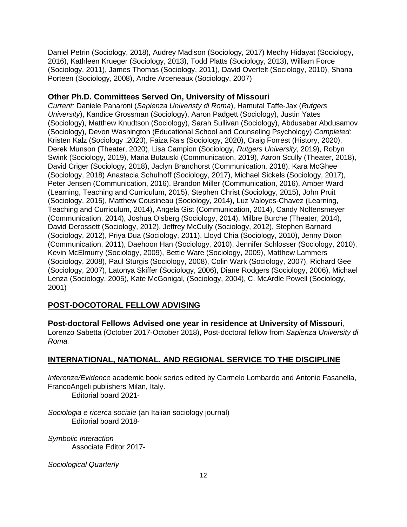Daniel Petrin (Sociology, 2018), Audrey Madison (Sociology, 2017) Medhy Hidayat (Sociology, 2016), Kathleen Krueger (Sociology, 2013), Todd Platts (Sociology, 2013), William Force (Sociology, 2011), James Thomas (Sociology, 2011), David Overfelt (Sociology, 2010), Shana Porteen (Sociology, 2008), Andre Arceneaux (Sociology, 2007)

## **Other Ph.D. Committees Served On, University of Missouri**

*Current:* Daniele Panaroni (*Sapienza Univeristy di Roma*), Hamutal Taffe-Jax (*Rutgers University*), Kandice Grossman (Sociology), Aaron Padgett (Sociology), Justin Yates (Sociology), Matthew Knudtson (Sociology), Sarah Sullivan (Sociology), Abdusabar Abdusamov (Sociology), Devon Washington (Educational School and Counseling Psychology) *Completed:* Kristen Kalz (Sociology ,2020), Faiza Rais (Sociology, 2020), Craig Forrest (History, 2020), Derek Munson (Theater, 2020), Lisa Campion (Sociology, *Rutgers University*, 2019), Robyn Swink (Sociology, 2019), Maria Butauski (Communication, 2019), Aaron Scully (Theater, 2018), David Criger (Sociology, 2018), Jaclyn Brandhorst (Communication, 2018), Kara McGhee (Sociology, 2018) Anastacia Schulhoff (Sociology, 2017), Michael Sickels (Sociology, 2017), Peter Jensen (Communication, 2016), Brandon Miller (Communication, 2016), Amber Ward (Learning, Teaching and Curriculum, 2015), Stephen Christ (Sociology, 2015), John Pruit (Sociology, 2015), Matthew Cousineau (Sociology, 2014), Luz Valoyes-Chavez (Learning, Teaching and Curriculum, 2014), Angela Gist (Communication, 2014), Candy Noltensmeyer (Communication, 2014), Joshua Olsberg (Sociology, 2014), Milbre Burche (Theater, 2014), David Derossett (Sociology, 2012), Jeffrey McCully (Sociology, 2012), Stephen Barnard (Sociology, 2012), Priya Dua (Sociology, 2011), Lloyd Chia (Sociology, 2010), Jenny Dixon (Communication, 2011), Daehoon Han (Sociology, 2010), Jennifer Schlosser (Sociology, 2010), Kevin McElmurry (Sociology, 2009), Bettie Ware (Sociology, 2009), Matthew Lammers (Sociology, 2008), Paul Sturgis (Sociology, 2008), Colin Wark (Sociology, 2007), Richard Gee (Sociology, 2007), Latonya Skiffer (Sociology, 2006), Diane Rodgers (Sociology, 2006), Michael Lenza (Sociology, 2005), Kate McGonigal, (Sociology, 2004), C. McArdle Powell (Sociology, 2001)

## **POST-DOCOTORAL FELLOW ADVISING**

**Post-doctoral Fellows Advised one year in residence at University of Missouri**,

Lorenzo Sabetta (October 2017-October 2018), Post-doctoral fellow from *Sapienza University di Roma.*

## **INTERNATIONAL, NATIONAL, AND REGIONAL SERVICE TO THE DISCIPLINE**

*Inferenze/Evidence* academic book series edited by Carmelo Lombardo and Antonio Fasanella, FrancoAngeli publishers Milan, Italy.

Editorial board 2021-

*Sociologia e ricerca sociale* (an Italian sociology journal) Editorial board 2018-

*Symbolic Interaction* Associate Editor 2017-

*Sociological Quarterly*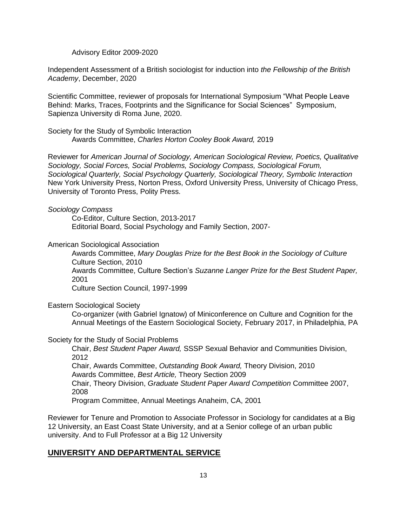Advisory Editor 2009-2020

Independent Assessment of a British sociologist for induction into *the Fellowship of the British Academy*, December, 2020

Scientific Committee, reviewer of proposals for International Symposium "What People Leave Behind: Marks, Traces, Footprints and the Significance for Social Sciences" Symposium, Sapienza University di Roma June, 2020.

Society for the Study of Symbolic Interaction Awards Committee, *Charles Horton Cooley Book Award,* 2019

Reviewer for *American Journal of Sociology, American Sociological Review, Poetics, Qualitative Sociology, Social Forces, Social Problems, Sociology Compass, Sociological Forum, Sociological Quarterly, Social Psychology Quarterly, Sociological Theory, Symbolic Interaction*  New York University Press, Norton Press, Oxford University Press, University of Chicago Press, University of Toronto Press, Polity Press.

#### *Sociology Compass*

Co-Editor, Culture Section, 2013-2017 Editorial Board, Social Psychology and Family Section, 2007-

#### American Sociological Association

Awards Committee, *Mary Douglas Prize for the Best Book in the Sociology of Culture* Culture Section, 2010 Awards Committee, Culture Section's *Suzanne Langer Prize for the Best Student Paper,*  2001 Culture Section Council, 1997-1999

Eastern Sociological Society

Co-organizer (with Gabriel Ignatow) of Miniconference on Culture and Cognition for the Annual Meetings of the Eastern Sociological Society, February 2017, in Philadelphia, PA

#### Society for the Study of Social Problems

Chair, *Best Student Paper Award,* SSSP Sexual Behavior and Communities Division, 2012 Chair, Awards Committee, *Outstanding Book Award,* Theory Division, 2010 Awards Committee, *Best Article,* Theory Section 2009 Chair, Theory Division, *Graduate Student Paper Award Competition* Committee 2007, 2008 Program Committee, Annual Meetings Anaheim, CA, 2001

Reviewer for Tenure and Promotion to Associate Professor in Sociology for candidates at a Big 12 University, an East Coast State University, and at a Senior college of an urban public university. And to Full Professor at a Big 12 University

## **UNIVERSITY AND DEPARTMENTAL SERVICE**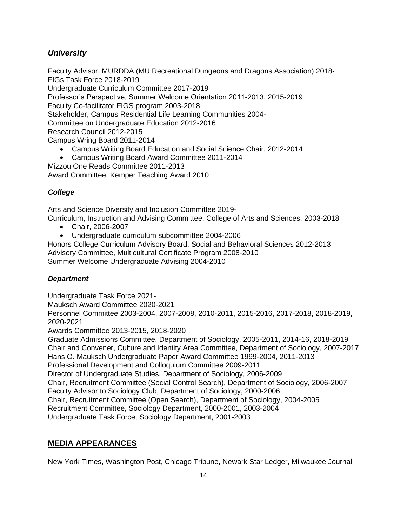# *University*

Faculty Advisor, MURDDA (MU Recreational Dungeons and Dragons Association) 2018- FIGs Task Force 2018-2019 Undergraduate Curriculum Committee 2017-2019 Professor's Perspective, Summer Welcome Orientation 2011-2013, 2015-2019 Faculty Co-facilitator FIGS program 2003-2018 Stakeholder, Campus Residential Life Learning Communities 2004- Committee on Undergraduate Education 2012-2016 Research Council 2012-2015 Campus Wring Board 2011-2014 • Campus Writing Board Education and Social Science Chair, 2012-2014

• Campus Writing Board Award Committee 2011-2014

Mizzou One Reads Committee 2011-2013

Award Committee, Kemper Teaching Award 2010

## *College*

Arts and Science Diversity and Inclusion Committee 2019-

Curriculum, Instruction and Advising Committee, College of Arts and Sciences, 2003-2018

- Chair, 2006-2007
- Undergraduate curriculum subcommittee 2004-2006

Honors College Curriculum Advisory Board, Social and Behavioral Sciences 2012-2013 Advisory Committee, Multicultural Certificate Program 2008-2010 Summer Welcome Undergraduate Advising 2004-2010

## *Department*

Undergraduate Task Force 2021-

Mauksch Award Committee 2020-2021

Personnel Committee 2003-2004, 2007-2008, 2010-2011, 2015-2016, 2017-2018, 2018-2019, 2020-2021

Awards Committee 2013-2015, 2018-2020

Graduate Admissions Committee, Department of Sociology, 2005-2011, 2014-16, 2018-2019 Chair and Convener, Culture and Identity Area Committee, Department of Sociology, 2007-2017 Hans O. Mauksch Undergraduate Paper Award Committee 1999-2004, 2011-2013 Professional Development and Colloquium Committee 2009-2011 Director of Undergraduate Studies, Department of Sociology, 2006-2009 Chair, Recruitment Committee (Social Control Search), Department of Sociology, 2006-2007 Faculty Advisor to Sociology Club, Department of Sociology, 2000-2006 Chair, Recruitment Committee (Open Search), Department of Sociology, 2004-2005 Recruitment Committee, Sociology Department, 2000-2001, 2003-2004 Undergraduate Task Force, Sociology Department, 2001-2003

# **MEDIA APPEARANCES**

New York Times, Washington Post, Chicago Tribune, Newark Star Ledger, Milwaukee Journal